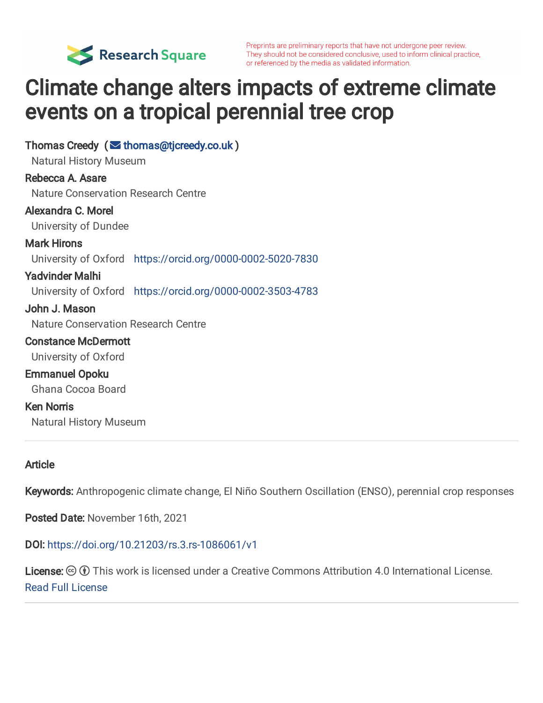

Preprints are preliminary reports that have not undergone peer review. They should not be considered conclusive, used to inform clinical practice, or referenced by the media as validated information.

# Climate change alters impacts of extreme climate events on a tropical perennial tree crop

Thomas Creedy  $($   $\blacktriangleright$  [thomas@tjcreedy.co.uk](mailto:thomas@tjcreedy.co.uk) ) Natural History Museum Rebecca A. Asare Nature Conservation Research Centre Alexandra C. Morel University of Dundee Mark Hirons University of Oxford <https://orcid.org/0000-0002-5020-7830> Yadvinder Malhi University of Oxford <https://orcid.org/0000-0002-3503-4783> John J. Mason Nature Conservation Research Centre Constance McDermott University of Oxford Emmanuel Opoku Ghana Cocoa Board Ken Norris Natural History Museum

### Article

Keywords: Anthropogenic climate change, El Niño Southern Oscillation (ENSO), perennial crop responses

Posted Date: November 16th, 2021

DOI: <https://doi.org/10.21203/rs.3.rs-1086061/v1>

License:  $\odot$  0 This work is licensed under a Creative Commons Attribution 4.0 International License. [Read Full License](https://creativecommons.org/licenses/by/4.0/)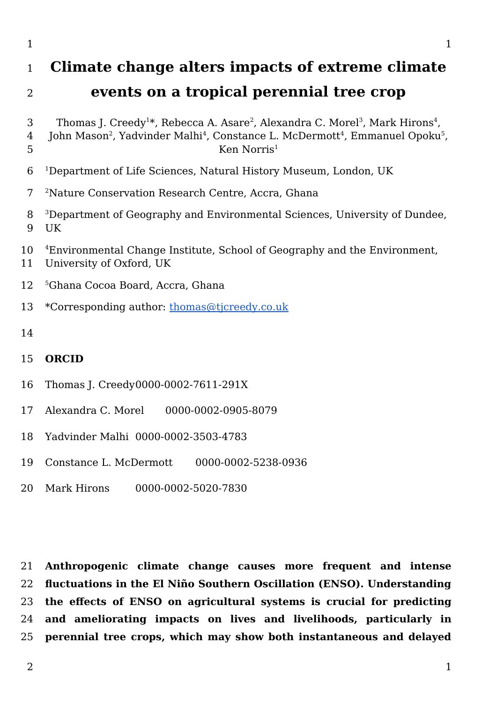### **Climate change alters impacts of extreme climate events on a tropical perennial tree crop**

- Thomas J. Creedy $^{1*}$ , Rebecca A. Asare $^{2}$ , Alexandra C. Morel $^{3}$ , Mark Hirons $^{4}$ ,
- John Mason<sup>2</sup>, Yadvinder Malhi<sup>4</sup>, Constance L. McDermott<sup>4</sup>, Emmanuel Opoku<sup>5</sup>, Ken Norris $<sup>1</sup>$ </sup>
- <sup>1</sup>Department of Life Sciences, Natural History Museum, London, UK
- Nature Conservation Research Centre, Accra, Ghana
- <sup>3</sup>Department of Geography and Environmental Sciences, University of Dundee, UK
- Environmental Change Institute, School of Geography and the Environment,
- University of Oxford, UK
- Ghana Cocoa Board, Accra, Ghana
- \*Corresponding author: [thomas@tjcreedy.co.uk](mailto:thomas@tjcreedy.co.uk)
- 

#### **ORCID**

- Thomas J. Creedy0000-0002-7611-291X
- Alexandra C. Morel 0000-0002-0905-8079
- Yadvinder Malhi 0000-0002-3503-4783
- Constance L. McDermott 0000-0002-5238-0936
- Mark Hirons 0000-0002-5020-7830

**Anthropogenic climate change causes more frequent and intense fluctuations in the El Niño Southern Oscillation (ENSO). Understanding the effects of ENSO on agricultural systems is crucial for predicting and ameliorating impacts on lives and livelihoods, particularly in perennial tree crops, which may show both instantaneous and delayed**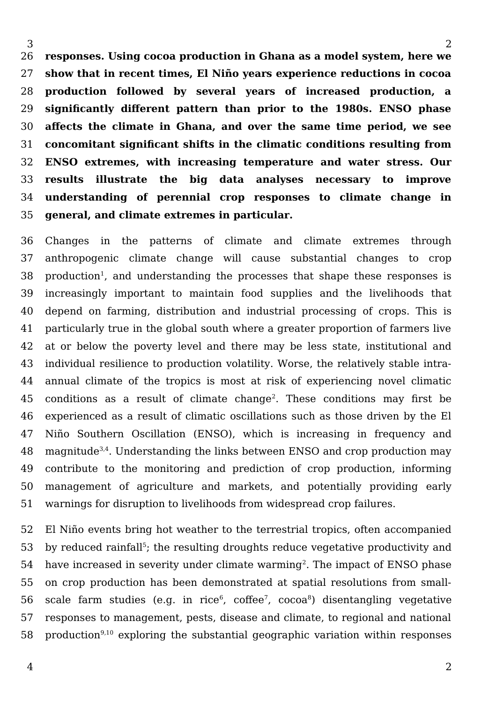**responses. Using cocoa production in Ghana as a model system, here we show that in recent times, El Niño years experience reductions in cocoa production followed by several years of increased production, a significantly different pattern than prior to the 1980s. ENSO phase affects the climate in Ghana, and over the same time period, we see concomitant significant shifts in the climatic conditions resulting from ENSO extremes, with increasing temperature and water stress. Our results illustrate the big data analyses necessary to improve understanding of perennial crop responses to climate change in general, and climate extremes in particular.**  26 27 28 29 30 31 32 33 34 35

Changes in the patterns of climate and climate extremes through anthropogenic climate change will cause substantial changes to crop production<sup>[1](https://www.zotero.org/google-docs/?V8uTzJ)</sup>, and understanding the processes that shape these responses is increasingly important to maintain food supplies and the livelihoods that depend on farming, distribution and industrial processing of crops. This is particularly true in the global south where a greater proportion of farmers live at or below the poverty level and there may be less state, institutional and individual resilience to production volatility. Worse, the relatively stable intraannual climate of the tropics is most at risk of experiencing novel climatic conditions as a result of climate change<sup>[2](https://www.zotero.org/google-docs/?Tz6lY3)</sup>. These conditions may first be experienced as a result of climatic oscillations such as those driven by the El Niño Southern Oscillation (ENSO), which is increasing in frequency and magnitude<sup>[3,4](https://www.zotero.org/google-docs/?J4JPXu)</sup>. Understanding the links between ENSO and crop production may contribute to the monitoring and prediction of crop production, informing management of agriculture and markets, and potentially providing early warnings for disruption to livelihoods from widespread crop failures. 36 37 38 39 40 41 42 43 44 45 46 47 48 49 50 51

El Niño events bring hot weather to the terrestrial tropics, often accompanied by reduced rainfall<sup>[5](https://www.zotero.org/google-docs/?7q92S0)</sup>; the resulting droughts reduce vegetative productivity and have increased in severity under climate warming $^{\rm 2}.$  $^{\rm 2}.$  $^{\rm 2}.$  The impact of ENSO phase on crop production has been demonstrated at spatial resolutions from smallscale farm studies (e.g. in rice $^6$  $^6$ , coffee $^7$  $^7$ , cocoa $^8$  $^8$ ) disentangling vegetative responses to management, pests, disease and climate, to regional and national production<sup>[9,10](https://www.zotero.org/google-docs/?celmBZ)</sup> exploring the substantial geographic variation within responses 52 53 54 55 56 57 58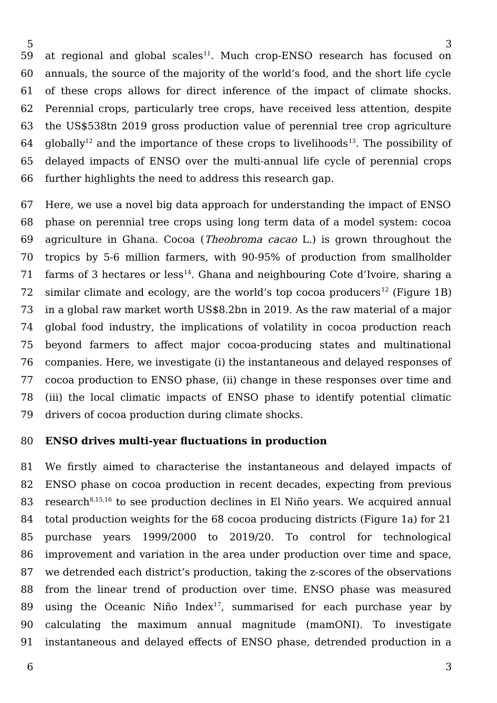at regional and global scales<sup>[11](https://www.zotero.org/google-docs/?CRT1Mf)</sup>. Much crop-ENSO research has focused on annuals, the source of the majority of the world's food, and the short life cycle of these crops allows for direct inference of the impact of climate shocks. Perennial crops, particularly tree crops, have received less attention, despite the US\$538tn 2019 gross production value of perennial tree crop agriculture  $q$ lobally<sup>[12](https://www.zotero.org/google-docs/?hw3052)</sup> and the importance of these crops to livelihoods<sup>[13](https://www.zotero.org/google-docs/?sFqHxQ)</sup>. The possibility of delayed impacts of ENSO over the multi-annual life cycle of perennial crops further highlights the need to address this research gap. 59 60 61 62 63 64 65 66

Here, we use a novel big data approach for understanding the impact of ENSO phase on perennial tree crops using long term data of a model system: cocoa agriculture in Ghana. Cocoa (Theobroma cacao L.) is grown throughout the tropics by 5-6 million farmers, with 90-95% of production from smallholder farms of 3 hectares or less<sup>[14](https://www.zotero.org/google-docs/?1aPQ7W)</sup>. Ghana and neighbouring Cote d'Ivoire, sharing a similar climate and ecology, are the world's top cocoa producers<sup>[12](https://www.zotero.org/google-docs/?Gw1U3N)</sup> (Figure 1B) in a global raw market worth US\$8.2bn in 2019. As the raw material of a major global food industry, the implications of volatility in cocoa production reach beyond farmers to affect major cocoa-producing states and multinational companies. Here, we investigate (i) the instantaneous and delayed responses of cocoa production to ENSO phase, (ii) change in these responses over time and (iii) the local climatic impacts of ENSO phase to identify potential climatic drivers of cocoa production during climate shocks. 67 68 69 70 71 72 73 74 75 76 77 78 79

#### **ENSO drives multi-year fluctuations in production** 80

We firstly aimed to characterise the instantaneous and delayed impacts of ENSO phase on cocoa production in recent decades, expecting from previous research $8,15,16$  to see production declines in El Niño years. We acquired annual total production weights for the 68 cocoa producing districts (Figure 1a) for 21 purchase years 1999/2000 to 2019/20. To control for technological improvement and variation in the area under production over time and space, we detrended each district's production, taking the z-scores of the observations from the linear trend of production over time. ENSO phase was measured using the Oceanic Niño Index<sup>[17](https://www.zotero.org/google-docs/?OCQqpw)</sup>, summarised for each purchase year by calculating the maximum annual magnitude (mamONI). To investigate instantaneous and delayed effects of ENSO phase, detrended production in a 81 82 83 84 85 86 87 88 89 90 91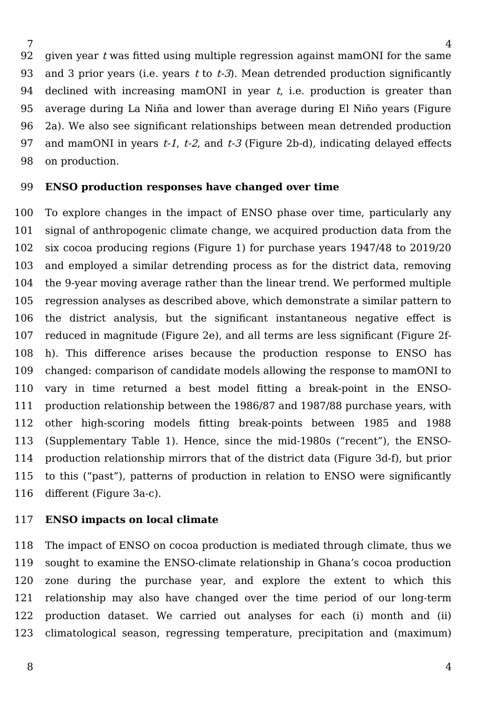given year  $t$  was fitted using multiple regression against mamONI for the same and 3 prior years (i.e. years  $t \text{ to } t-3$ ). Mean detrended production significantly declined with increasing mamONI in year  $t$ , i.e. production is greater than average during La Niña and lower than average during El Niño years (Figure 2a). We also see significant relationships between mean detrended production and mamONI in years  $t-1$ ,  $t-2$ , and  $t-3$  (Figure 2b-d), indicating delayed effects on production. 92 93 94 95 96 97 98

#### **ENSO production responses have changed over time** 99

To explore changes in the impact of ENSO phase over time, particularly any signal of anthropogenic climate change, we acquired production data from the six cocoa producing regions (Figure 1) for purchase years 1947/48 to 2019/20 and employed a similar detrending process as for the district data, removing the 9-year moving average rather than the linear trend. We performed multiple regression analyses as described above, which demonstrate a similar pattern to the district analysis, but the significant instantaneous negative effect is reduced in magnitude (Figure 2e), and all terms are less significant (Figure 2fh). This difference arises because the production response to ENSO has changed: comparison of candidate models allowing the response to mamONI to vary in time returned a best model fitting a break-point in the ENSOproduction relationship between the 1986/87 and 1987/88 purchase years, with other high-scoring models fitting break-points between 1985 and 1988 (Supplementary Table 1). Hence, since the mid-1980s ("recent"), the ENSOproduction relationship mirrors that of the district data (Figure 3d-f), but prior to this ("past"), patterns of production in relation to ENSO were significantly different (Figure 3a-c). 100 101 102 103 104 105 106 107 108 109 110 111 112 113 114 115 116

#### **ENSO impacts on local climate** 117

The impact of ENSO on cocoa production is mediated through climate, thus we sought to examine the ENSO-climate relationship in Ghana's cocoa production zone during the purchase year, and explore the extent to which this relationship may also have changed over the time period of our long-term production dataset. We carried out analyses for each (i) month and (ii) climatological season, regressing temperature, precipitation and (maximum) 118 119 120 121 122 123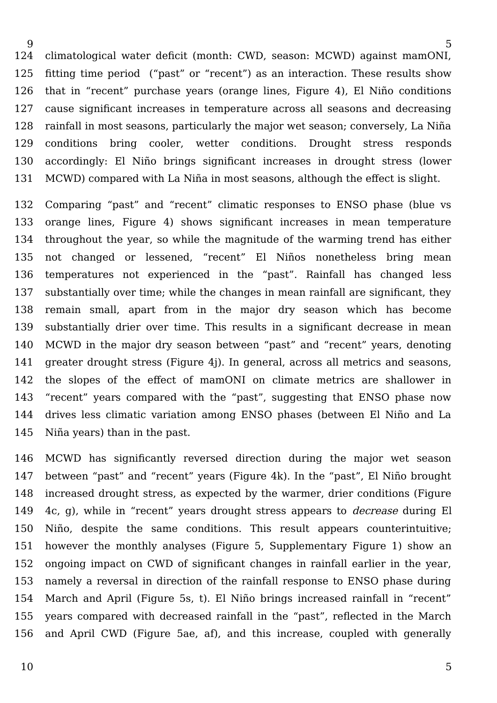climatological water deficit (month: CWD, season: MCWD) against mamONI, fitting time period ("past" or "recent") as an interaction. These results show that in "recent" purchase years (orange lines, Figure 4), El Niño conditions cause significant increases in temperature across all seasons and decreasing rainfall in most seasons, particularly the major wet season; conversely, La Niña conditions bring cooler, wetter conditions. Drought stress responds accordingly: El Niño brings significant increases in drought stress (lower MCWD) compared with La Niña in most seasons, although the effect is slight. 124 125 126 127 128 129 130 131

Comparing "past" and "recent" climatic responses to ENSO phase (blue vs orange lines, Figure 4) shows significant increases in mean temperature throughout the year, so while the magnitude of the warming trend has either not changed or lessened, "recent" El Niños nonetheless bring mean temperatures not experienced in the "past". Rainfall has changed less substantially over time; while the changes in mean rainfall are significant, they remain small, apart from in the major dry season which has become substantially drier over time. This results in a significant decrease in mean MCWD in the major dry season between "past" and "recent" years, denoting greater drought stress (Figure 4j). In general, across all metrics and seasons, the slopes of the effect of mamONI on climate metrics are shallower in "recent" years compared with the "past", suggesting that ENSO phase now drives less climatic variation among ENSO phases (between El Niño and La Niña years) than in the past. 132 133 134 135 136 137 138 139 140 141 142 143 144 145

MCWD has significantly reversed direction during the major wet season between "past" and "recent" years (Figure 4k). In the "past", El Niño brought increased drought stress, as expected by the warmer, drier conditions (Figure 4c, g), while in "recent" years drought stress appears to decrease during El Niño, despite the same conditions. This result appears counterintuitive; however the monthly analyses (Figure 5, Supplementary Figure 1) show an ongoing impact on CWD of significant changes in rainfall earlier in the year, namely a reversal in direction of the rainfall response to ENSO phase during March and April (Figure 5s, t). El Niño brings increased rainfall in "recent" years compared with decreased rainfall in the "past", reflected in the March and April CWD (Figure 5ae, af), and this increase, coupled with generally 146 147 148 149 150 151 152 153 154 155 156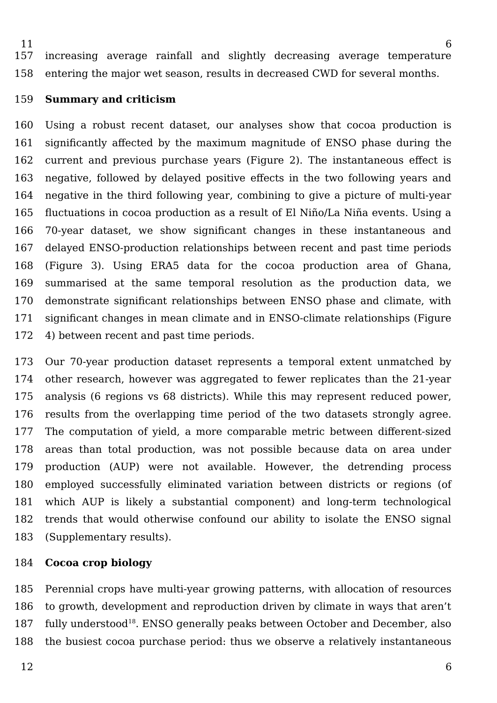6 increasing average rainfall and slightly decreasing average temperature entering the major wet season, results in decreased CWD for several months. 11 157 158

#### **Summary and criticism** 159

Using a robust recent dataset, our analyses show that cocoa production is significantly affected by the maximum magnitude of ENSO phase during the current and previous purchase years (Figure 2). The instantaneous effect is negative, followed by delayed positive effects in the two following years and negative in the third following year, combining to give a picture of multi-year fluctuations in cocoa production as a result of El Niño/La Niña events. Using a 70-year dataset, we show significant changes in these instantaneous and delayed ENSO-production relationships between recent and past time periods (Figure 3). Using ERA5 data for the cocoa production area of Ghana, summarised at the same temporal resolution as the production data, we demonstrate significant relationships between ENSO phase and climate, with significant changes in mean climate and in ENSO-climate relationships (Figure 4) between recent and past time periods. 160 161 162 163 164 165 166 167 168 169 170 171 172

Our 70-year production dataset represents a temporal extent unmatched by other research, however was aggregated to fewer replicates than the 21-year analysis (6 regions vs 68 districts). While this may represent reduced power, results from the overlapping time period of the two datasets strongly agree. The computation of yield, a more comparable metric between different-sized areas than total production, was not possible because data on area under production (AUP) were not available. However, the detrending process employed successfully eliminated variation between districts or regions (of which AUP is likely a substantial component) and long-term technological trends that would otherwise confound our ability to isolate the ENSO signal (Supplementary results). 173 174 175 176 177 178 179 180 181 182 183

#### **Cocoa crop biology** 184

Perennial crops have multi-year growing patterns, with allocation of resources to growth, development and reproduction driven by climate in ways that aren't fully understood<sup>[18](https://www.zotero.org/google-docs/?XimETh)</sup>. ENSO generally peaks between October and December, also the busiest cocoa purchase period: thus we observe a relatively instantaneous 185 186 187 188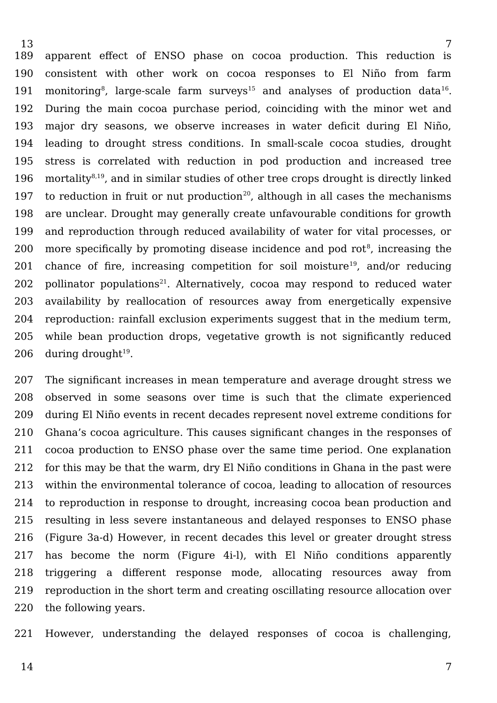apparent effect of ENSO phase on cocoa production. This reduction is consistent with other work on cocoa responses to El Niño from farm monitoring $^8$  $^8$ , large-scale farm surveys $^{15}$  $^{15}$  $^{15}$  and analyses of production data $^{16}\!$  $^{16}\!$  $^{16}\!$ . During the main cocoa purchase period, coinciding with the minor wet and major dry seasons, we observe increases in water deficit during El Niño, leading to drought stress conditions. In small-scale cocoa studies, drought stress is correlated with reduction in pod production and increased tree mortality<sup>[8,19](https://www.zotero.org/google-docs/?sQ8nMj)</sup>, and in similar studies of other tree crops drought is directly linked to reduction in fruit or nut production<sup>[20](https://www.zotero.org/google-docs/?fcvHRi)</sup>, although in all cases the mechanisms are unclear. Drought may generally create unfavourable conditions for growth and reproduction through reduced availability of water for vital processes, or more specifically by promoting disease incidence and pod rot $\mathrm{^8}$  $\mathrm{^8}$  $\mathrm{^8}$ , increasing the chance of fire, increasing competition for soil moisture<sup>[19](https://www.zotero.org/google-docs/?HXMNxW)</sup>, and/or reducing pollinator populations<sup>[21](https://www.zotero.org/google-docs/?NR0kEl)</sup>. Alternatively, cocoa may respond to reduced water availability by reallocation of resources away from energetically expensive reproduction: rainfall exclusion experiments suggest that in the medium term, while bean production drops, vegetative growth is not significantly reduced during drought $^{\rm 19}$  $^{\rm 19}$  $^{\rm 19}$ . 189 190 191 192 193 194 195 196 197 198 199 200 201 202 203 204 205 206

The significant increases in mean temperature and average drought stress we observed in some seasons over time is such that the climate experienced during El Niño events in recent decades represent novel extreme conditions for Ghana's cocoa agriculture. This causes significant changes in the responses of cocoa production to ENSO phase over the same time period. One explanation for this may be that the warm, dry El Niño conditions in Ghana in the past were within the environmental tolerance of cocoa, leading to allocation of resources to reproduction in response to drought, increasing cocoa bean production and resulting in less severe instantaneous and delayed responses to ENSO phase (Figure 3a-d) However, in recent decades this level or greater drought stress has become the norm (Figure 4i-l), with El Niño conditions apparently triggering a different response mode, allocating resources away from reproduction in the short term and creating oscillating resource allocation over the following years. 207 208 209 210 211 212 213 214 215 216 217 218 219 220

However, understanding the delayed responses of cocoa is challenging, 221

14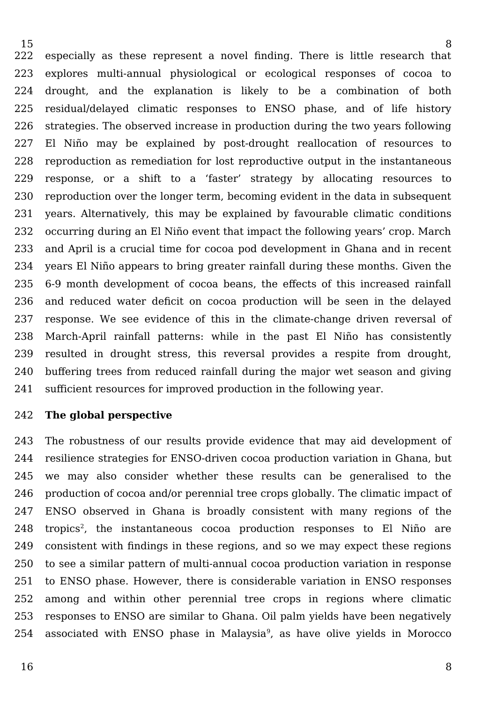especially as these represent a novel finding. There is little research that explores multi-annual physiological or ecological responses of cocoa to drought, and the explanation is likely to be a combination of both residual/delayed climatic responses to ENSO phase, and of life history strategies. The observed increase in production during the two years following El Niño may be explained by post-drought reallocation of resources to reproduction as remediation for lost reproductive output in the instantaneous response, or a shift to a 'faster' strategy by allocating resources to reproduction over the longer term, becoming evident in the data in subsequent years. Alternatively, this may be explained by favourable climatic conditions occurring during an El Niño event that impact the following years' crop. March and April is a crucial time for cocoa pod development in Ghana and in recent years El Niño appears to bring greater rainfall during these months. Given the 6-9 month development of cocoa beans, the effects of this increased rainfall and reduced water deficit on cocoa production will be seen in the delayed response. We see evidence of this in the climate-change driven reversal of March-April rainfall patterns: while in the past El Niño has consistently resulted in drought stress, this reversal provides a respite from drought, buffering trees from reduced rainfall during the major wet season and giving sufficient resources for improved production in the following year. 222 223 224 225 226 227 228 229 230 231 232 233 234 235 236 237 238 239 240 241

#### **The global perspective** 242

The robustness of our results provide evidence that may aid development of resilience strategies for ENSO-driven cocoa production variation in Ghana, but we may also consider whether these results can be generalised to the production of cocoa and/or perennial tree crops globally. The climatic impact of ENSO observed in Ghana is broadly consistent with many regions of the tropics<sup>[2](https://www.zotero.org/google-docs/?boABV1)</sup>, the instantaneous cocoa production responses to El Niño are consistent with findings in these regions, and so we may expect these regions to see a similar pattern of multi-annual cocoa production variation in response to ENSO phase. However, there is considerable variation in ENSO responses among and within other perennial tree crops in regions where climatic responses to ENSO are similar to Ghana. Oil palm yields have been negatively associated with ENSO phase in Malaysia<sup>[9](https://www.zotero.org/google-docs/?le9ntj)</sup>, as have olive yields in Morocco 243 244 245 246 247 248 249 250 251 252 253 254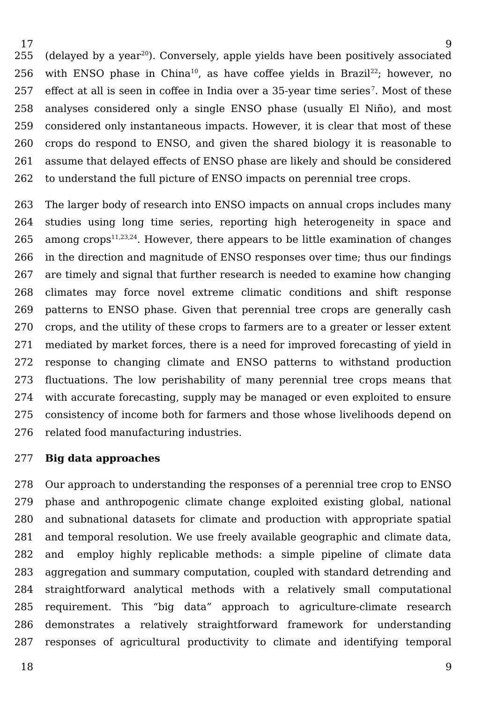$(delayed by a year<sup>20</sup>)$  $(delayed by a year<sup>20</sup>)$  $(delayed by a year<sup>20</sup>)$ . Conversely, apple yields have been positively associated with ENSO phase in China<sup>[10](https://www.zotero.org/google-docs/?OIXuXg)</sup>, as have coffee yields in Brazil<sup>[22](https://www.zotero.org/google-docs/?bOGncP)</sup>; however, no effect at all is seen in coffee in India over a 35-year time series<sup>[7](https://www.zotero.org/google-docs/?HEnqpT)</sup>. Most of these analyses considered only a single ENSO phase (usually El Niño), and most considered only instantaneous impacts. However, it is clear that most of these crops do respond to ENSO, and given the shared biology it is reasonable to assume that delayed effects of ENSO phase are likely and should be considered to understand the full picture of ENSO impacts on perennial tree crops. 255 256 257 258 259 260 261 262

The larger body of research into ENSO impacts on annual crops includes many studies using long time series, reporting high heterogeneity in space and among crops<sup>[11,23,24](https://www.zotero.org/google-docs/?USeoQE)</sup>. However, there appears to be little examination of changes in the direction and magnitude of ENSO responses over time; thus our findings are timely and signal that further research is needed to examine how changing climates may force novel extreme climatic conditions and shift response patterns to ENSO phase. Given that perennial tree crops are generally cash crops, and the utility of these crops to farmers are to a greater or lesser extent mediated by market forces, there is a need for improved forecasting of yield in response to changing climate and ENSO patterns to withstand production fluctuations. The low perishability of many perennial tree crops means that with accurate forecasting, supply may be managed or even exploited to ensure consistency of income both for farmers and those whose livelihoods depend on related food manufacturing industries. 263 264 265 266 267 268 269 270 271 272 273 274 275 276

#### **Big data approaches** 277

Our approach to understanding the responses of a perennial tree crop to ENSO phase and anthropogenic climate change exploited existing global, national and subnational datasets for climate and production with appropriate spatial and temporal resolution. We use freely available geographic and climate data, and employ highly replicable methods: a simple pipeline of climate data aggregation and summary computation, coupled with standard detrending and straightforward analytical methods with a relatively small computational requirement. This "big data" approach to agriculture-climate research demonstrates a relatively straightforward framework for understanding responses of agricultural productivity to climate and identifying temporal 278 279 280 281 282 283 284 285 286 287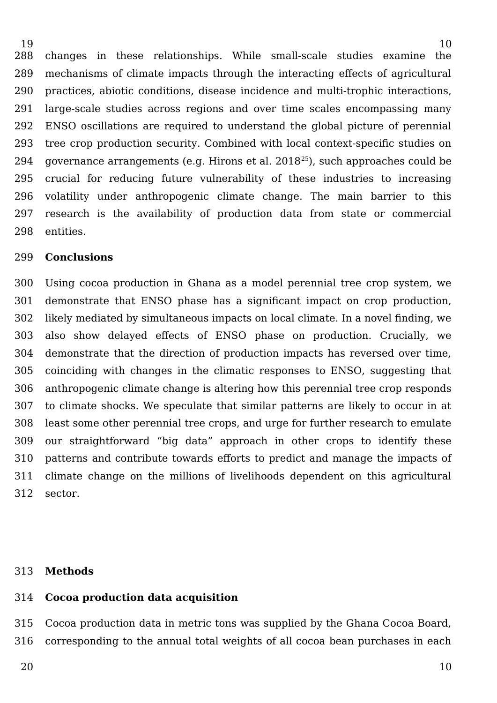changes in these relationships. While small-scale studies examine the mechanisms of climate impacts through the interacting effects of agricultural practices, abiotic conditions, disease incidence and multi-trophic interactions, large-scale studies across regions and over time scales encompassing many ENSO oscillations are required to understand the global picture of perennial tree crop production security. Combined with local context-specific studies on governance arrangements (e.g. Hirons et al. 2018[25](https://www.zotero.org/google-docs/?mCSiYb)), such approaches could be crucial for reducing future vulnerability of these industries to increasing volatility under anthropogenic climate change. The main barrier to this research is the availability of production data from state or commercial entities. 288 289 290 291 292 293 294 295 296 297 298

#### **Conclusions** 299

19

Using cocoa production in Ghana as a model perennial tree crop system, we demonstrate that ENSO phase has a significant impact on crop production, likely mediated by simultaneous impacts on local climate. In a novel finding, we also show delayed effects of ENSO phase on production. Crucially, we demonstrate that the direction of production impacts has reversed over time, coinciding with changes in the climatic responses to ENSO, suggesting that anthropogenic climate change is altering how this perennial tree crop responds to climate shocks. We speculate that similar patterns are likely to occur in at least some other perennial tree crops, and urge for further research to emulate our straightforward "big data" approach in other crops to identify these patterns and contribute towards efforts to predict and manage the impacts of climate change on the millions of livelihoods dependent on this agricultural sector. 300 301 302 303 304 305 306 307 308 309 310 311 312

#### **Methods** 313

#### **Cocoa production data acquisition** 314

Cocoa production data in metric tons was supplied by the Ghana Cocoa Board, corresponding to the annual total weights of all cocoa bean purchases in each 315 316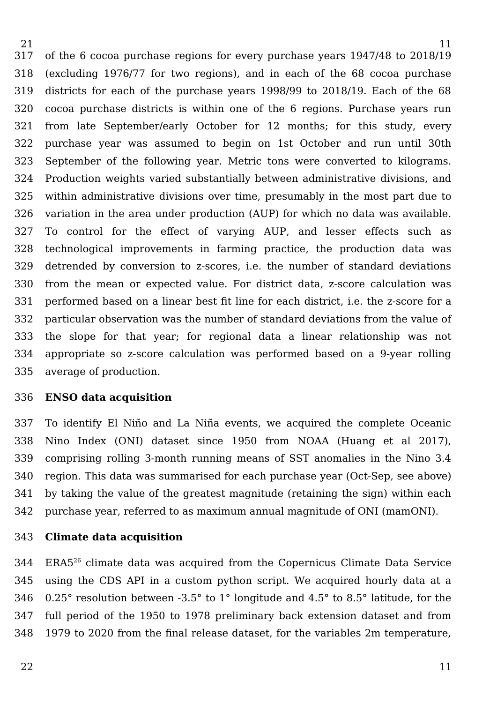of the 6 cocoa purchase regions for every purchase years 1947/48 to 2018/19 (excluding 1976/77 for two regions), and in each of the 68 cocoa purchase districts for each of the purchase years 1998/99 to 2018/19. Each of the 68 cocoa purchase districts is within one of the 6 regions. Purchase years run from late September/early October for 12 months; for this study, every purchase year was assumed to begin on 1st October and run until 30th September of the following year. Metric tons were converted to kilograms. Production weights varied substantially between administrative divisions, and within administrative divisions over time, presumably in the most part due to variation in the area under production (AUP) for which no data was available. To control for the effect of varying AUP, and lesser effects such as technological improvements in farming practice, the production data was detrended by conversion to z-scores, i.e. the number of standard deviations from the mean or expected value. For district data, z-score calculation was performed based on a linear best fit line for each district, i.e. the z-score for a particular observation was the number of standard deviations from the value of the slope for that year; for regional data a linear relationship was not appropriate so z-score calculation was performed based on a 9-year rolling average of production. 317 318 319 320 321 322 323 324 325 326 327 328 329 330 331 332 333 334 335

#### **ENSO data acquisition** 336

To identify El Niño and La Niña events, we acquired the complete Oceanic Nino Index (ONI) dataset since 1950 from NOAA (Huang et al 2017), comprising rolling 3-month running means of SST anomalies in the Nino 3.4 region. This data was summarised for each purchase year (Oct-Sep, see above) by taking the value of the greatest magnitude (retaining the sign) within each purchase year, referred to as maximum annual magnitude of ONI (mamONI). 337 338 339 340 341 342

#### **Climate data acquisition** 343

ERA5[26](https://www.zotero.org/google-docs/?j41qko) climate data was acquired from the Copernicus Climate Data Service using the CDS API in a custom python script. We acquired hourly data at a 0.25° resolution between -3.5° to 1° longitude and 4.5° to 8.5° latitude, for the full period of the 1950 to 1978 preliminary back extension dataset and from 1979 to 2020 from the final release dataset, for the variables 2m temperature, 344 345 346 347 348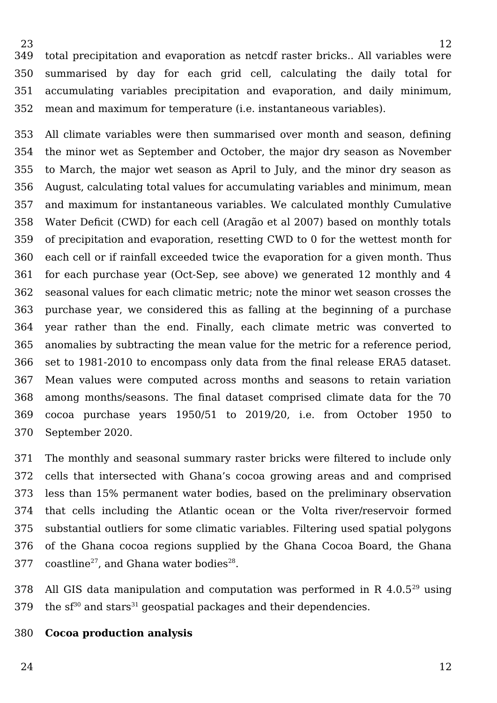total precipitation and evaporation as netcdf raster bricks.. All variables were summarised by day for each grid cell, calculating the daily total for accumulating variables precipitation and evaporation, and daily minimum, mean and maximum for temperature (i.e. instantaneous variables). 349 350 351 352

All climate variables were then summarised over month and season, defining the minor wet as September and October, the major dry season as November to March, the major wet season as April to July, and the minor dry season as August, calculating total values for accumulating variables and minimum, mean and maximum for instantaneous variables. We calculated monthly Cumulative Water Deficit (CWD) for each cell (Aragão et al 2007) based on monthly totals of precipitation and evaporation, resetting CWD to 0 for the wettest month for each cell or if rainfall exceeded twice the evaporation for a given month. Thus for each purchase year (Oct-Sep, see above) we generated 12 monthly and 4 seasonal values for each climatic metric; note the minor wet season crosses the purchase year, we considered this as falling at the beginning of a purchase year rather than the end. Finally, each climate metric was converted to anomalies by subtracting the mean value for the metric for a reference period, set to 1981-2010 to encompass only data from the final release ERA5 dataset. Mean values were computed across months and seasons to retain variation among months/seasons. The final dataset comprised climate data for the 70 cocoa purchase years 1950/51 to 2019/20, i.e. from October 1950 to September 2020. 353 354 355 356 357 358 359 360 361 362 363 364 365 366 367 368 369 370

The monthly and seasonal summary raster bricks were filtered to include only cells that intersected with Ghana's cocoa growing areas and and comprised less than 15% permanent water bodies, based on the preliminary observation that cells including the Atlantic ocean or the Volta river/reservoir formed substantial outliers for some climatic variables. Filtering used spatial polygons of the Ghana cocoa regions supplied by the Ghana Cocoa Board, the Ghana  $\rm{coastline^{27}}$  $\rm{coastline^{27}}$  $\rm{coastline^{27}}$ , and Ghana water  $\rm{bodies^{28}}.$  $\rm{bodies^{28}}.$  $\rm{bodies^{28}}.$ 371 372 373 374 375 376 377

All GIS data manipulation and computation was performed in  $R$  4.0.5<sup>[29](https://www.zotero.org/google-docs/?NGjk6F)</sup> using the  $sf^{30}$  $sf^{30}$  $sf^{30}$  and stars<sup>[31](https://www.zotero.org/google-docs/?a9D0tq)</sup> geospatial packages and their dependencies. 378 379

**Cocoa production analysis** 380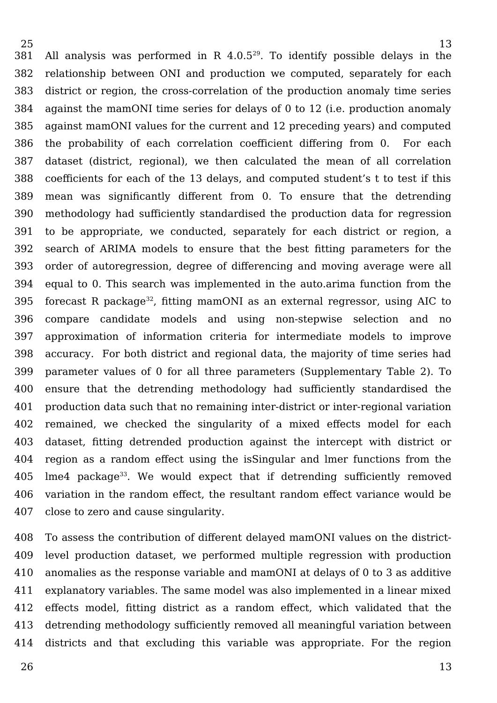All analysis was performed in R  $4.0.5^{29}$  $4.0.5^{29}$  $4.0.5^{29}$ . To identify possible delays in the relationship between ONI and production we computed, separately for each district or region, the cross-correlation of the production anomaly time series against the mamONI time series for delays of 0 to 12 (i.e. production anomaly against mamONI values for the current and 12 preceding years) and computed the probability of each correlation coefficient differing from 0. For each dataset (district, regional), we then calculated the mean of all correlation coefficients for each of the 13 delays, and computed student's t to test if this mean was significantly different from 0. To ensure that the detrending methodology had sufficiently standardised the production data for regression to be appropriate, we conducted, separately for each district or region, a search of ARIMA models to ensure that the best fitting parameters for the order of autoregression, degree of differencing and moving average were all equal to 0. This search was implemented in the auto.arima function from the forecast R package<sup>[32](https://www.zotero.org/google-docs/?Vh7N6W)</sup>, fitting mamONI as an external regressor, using AIC to compare candidate models and using non-stepwise selection and no approximation of information criteria for intermediate models to improve accuracy. For both district and regional data, the majority of time series had parameter values of 0 for all three parameters (Supplementary Table 2). To ensure that the detrending methodology had sufficiently standardised the production data such that no remaining inter-district or inter-regional variation remained, we checked the singularity of a mixed effects model for each dataset, fitting detrended production against the intercept with district or region as a random effect using the isSingular and lmer functions from the  $l$ me4 package<sup>[33](https://www.zotero.org/google-docs/?YrJKx9)</sup>. We would expect that if detrending sufficiently removed variation in the random effect, the resultant random effect variance would be close to zero and cause singularity. 381 382 383 384 385 386 387 388 389 390 391 392 393 394 395 396 397 398 399 400 401 402 403 404 405 406 407

To assess the contribution of different delayed mamONI values on the districtlevel production dataset, we performed multiple regression with production anomalies as the response variable and mamONI at delays of 0 to 3 as additive explanatory variables. The same model was also implemented in a linear mixed effects model, fitting district as a random effect, which validated that the detrending methodology sufficiently removed all meaningful variation between districts and that excluding this variable was appropriate. For the region 408 409 410 411 412 413 414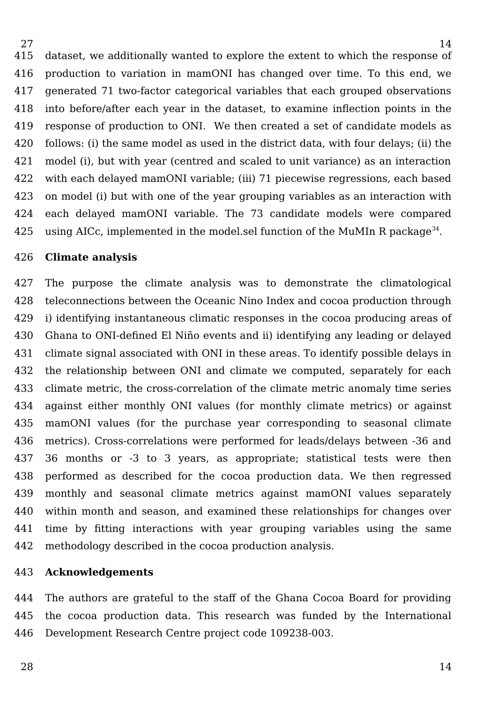dataset, we additionally wanted to explore the extent to which the response of production to variation in mamONI has changed over time. To this end, we generated 71 two-factor categorical variables that each grouped observations into before/after each year in the dataset, to examine inflection points in the response of production to ONI. We then created a set of candidate models as follows: (i) the same model as used in the district data, with four delays; (ii) the model (i), but with year (centred and scaled to unit variance) as an interaction with each delayed mamONI variable; (iii) 71 piecewise regressions, each based on model (i) but with one of the year grouping variables as an interaction with each delayed mamONI variable. The 73 candidate models were compared using AICc, implemented in the model.sel function of the MuMIn R package $^{34}$  $^{34}$  $^{34}$ . 415 416 417 418 419 420 421 422 423 424 425

#### **Climate analysis** 426

27

The purpose the climate analysis was to demonstrate the climatological teleconnections between the Oceanic Nino Index and cocoa production through i) identifying instantaneous climatic responses in the cocoa producing areas of Ghana to ONI-defined El Niño events and ii) identifying any leading or delayed climate signal associated with ONI in these areas. To identify possible delays in the relationship between ONI and climate we computed, separately for each climate metric, the cross-correlation of the climate metric anomaly time series against either monthly ONI values (for monthly climate metrics) or against mamONI values (for the purchase year corresponding to seasonal climate metrics). Cross-correlations were performed for leads/delays between -36 and 36 months or -3 to 3 years, as appropriate; statistical tests were then performed as described for the cocoa production data. We then regressed monthly and seasonal climate metrics against mamONI values separately within month and season, and examined these relationships for changes over time by fitting interactions with year grouping variables using the same methodology described in the cocoa production analysis. 427 428 429 430 431 432 433 434 435 436 437 438 439 440 441 442

#### **Acknowledgements** 443

The authors are grateful to the staff of the Ghana Cocoa Board for providing the cocoa production data. This research was funded by the International Development Research Centre project code 109238-003. 444 445 446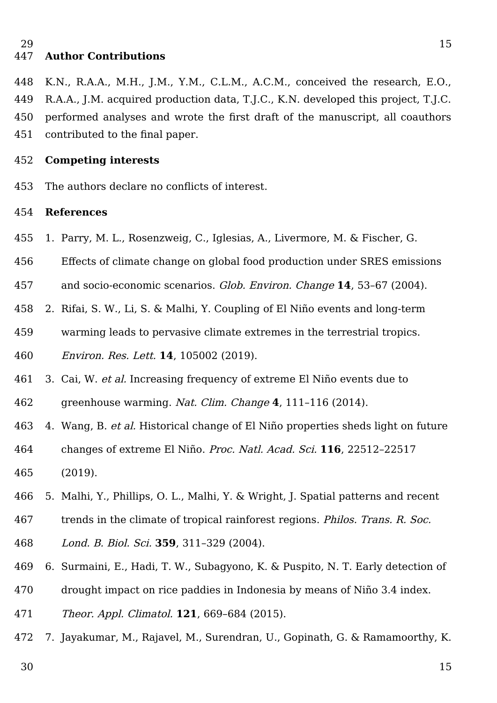#### **Author Contributions** 447

15

K.N., R.A.A., M.H., J.M., Y.M., C.L.M., A.C.M., conceived the research, E.O., R.A.A., J.M. acquired production data, T.J.C., K.N. developed this project, T.J.C. performed analyses and wrote the first draft of the manuscript, all coauthors contributed to the final paper. 448 449 450 451

#### **Competing interests** 452

The authors declare no conflicts of interest. 453

#### **References** 454

- [1. Parry, M. L., Rosenzweig, C., Iglesias, A., Livermore, M. & Fischer, G.](https://www.zotero.org/google-docs/?hKhFLE)  455
- [Effects of climate change on global food production under SRES emissions](https://www.zotero.org/google-docs/?hKhFLE)  456
- [and socio-economic scenarios.](https://www.zotero.org/google-docs/?hKhFLE) [Glob. Environ. Change](https://www.zotero.org/google-docs/?hKhFLE) **[14](https://www.zotero.org/google-docs/?hKhFLE)**[, 53–67 \(2004\).](https://www.zotero.org/google-docs/?hKhFLE) 457
- [2. Rifai, S. W., Li, S. & Malhi, Y. Coupling of El Niño events and long-term](https://www.zotero.org/google-docs/?hKhFLE)  458
- [warming leads to pervasive climate extremes in the terrestrial tropics.](https://www.zotero.org/google-docs/?hKhFLE)  459
- [Environ. Res. Lett.](https://www.zotero.org/google-docs/?hKhFLE) **[14](https://www.zotero.org/google-docs/?hKhFLE)**[, 105002 \(2019\).](https://www.zotero.org/google-docs/?hKhFLE) 460
- [3. Cai, W.](https://www.zotero.org/google-docs/?hKhFLE) [et al.](https://www.zotero.org/google-docs/?hKhFLE) [Increasing frequency of extreme El Niño events due to](https://www.zotero.org/google-docs/?hKhFLE)  461
- [greenhouse warming.](https://www.zotero.org/google-docs/?hKhFLE) [Nat. Clim. Change](https://www.zotero.org/google-docs/?hKhFLE) **[4](https://www.zotero.org/google-docs/?hKhFLE)**[, 111–116 \(2014\).](https://www.zotero.org/google-docs/?hKhFLE) 462
- [4. Wang, B.](https://www.zotero.org/google-docs/?hKhFLE) [et al.](https://www.zotero.org/google-docs/?hKhFLE) [Historical change of El Niño properties sheds light on future](https://www.zotero.org/google-docs/?hKhFLE)  463
- [changes of extreme El Niño.](https://www.zotero.org/google-docs/?hKhFLE) [Proc. Natl. Acad. Sci.](https://www.zotero.org/google-docs/?hKhFLE) **[116](https://www.zotero.org/google-docs/?hKhFLE)**[, 22512–22517](https://www.zotero.org/google-docs/?hKhFLE)  [\(2019\).](https://www.zotero.org/google-docs/?hKhFLE) 464 465
- [5. Malhi, Y., Phillips, O. L., Malhi, Y. & Wright, J. Spatial patterns and recent](https://www.zotero.org/google-docs/?hKhFLE)  466
- [trends in the climate of tropical rainforest regions.](https://www.zotero.org/google-docs/?hKhFLE) [Philos. Trans. R. Soc.](https://www.zotero.org/google-docs/?hKhFLE)  467
- [Lond. B. Biol. Sci.](https://www.zotero.org/google-docs/?hKhFLE) **[359](https://www.zotero.org/google-docs/?hKhFLE)**[, 311–329 \(2004\).](https://www.zotero.org/google-docs/?hKhFLE) 468
- [6. Surmaini, E., Hadi, T. W., Subagyono, K. & Puspito, N. T. Early detection of](https://www.zotero.org/google-docs/?hKhFLE)  469
- [drought impact on rice paddies in Indonesia by means of Niño 3.4 index.](https://www.zotero.org/google-docs/?hKhFLE)  470
- [Theor. Appl. Climatol.](https://www.zotero.org/google-docs/?hKhFLE) **[121](https://www.zotero.org/google-docs/?hKhFLE)**[, 669–684 \(2015\).](https://www.zotero.org/google-docs/?hKhFLE) 471
- [7. Jayakumar, M., Rajavel, M., Surendran, U., Gopinath, G. & Ramamoorthy, K.](https://www.zotero.org/google-docs/?hKhFLE) 472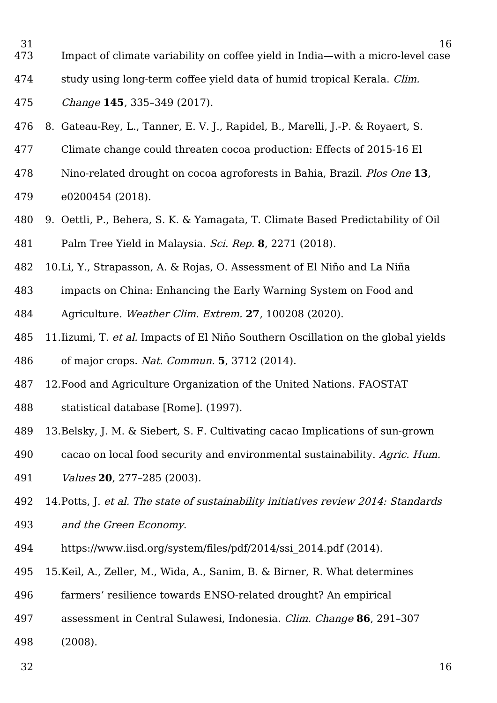- [Impact of climate variability on coffee yield in India—with a micro-level case](https://www.zotero.org/google-docs/?hKhFLE) 31 473
- [study using long-term coffee yield data of humid tropical Kerala.](https://www.zotero.org/google-docs/?hKhFLE) Clim. 474

[Change](https://www.zotero.org/google-docs/?hKhFLE) **[145](https://www.zotero.org/google-docs/?hKhFLE)**[, 335–349 \(2017\).](https://www.zotero.org/google-docs/?hKhFLE) 475

- [8. Gateau-Rey, L., Tanner, E. V. J., Rapidel, B., Marelli, J.-P. & Royaert, S.](https://www.zotero.org/google-docs/?hKhFLE)  476
- [Climate change could threaten cocoa production: Effects of 2015-16 El](https://www.zotero.org/google-docs/?hKhFLE)  477
- [Nino-related drought on cocoa agroforests in Bahia, Brazil.](https://www.zotero.org/google-docs/?hKhFLE) [Plos One](https://www.zotero.org/google-docs/?hKhFLE) **[13](https://www.zotero.org/google-docs/?hKhFLE)**[,](https://www.zotero.org/google-docs/?hKhFLE)  [e0200454 \(2018\).](https://www.zotero.org/google-docs/?hKhFLE) 478 479
- [9. Oettli, P., Behera, S. K. & Yamagata, T. Climate Based Predictability of Oil](https://www.zotero.org/google-docs/?hKhFLE)  [Palm Tree Yield in Malaysia.](https://www.zotero.org/google-docs/?hKhFLE) [Sci. Rep.](https://www.zotero.org/google-docs/?hKhFLE) **[8](https://www.zotero.org/google-docs/?hKhFLE)**[, 2271 \(2018\).](https://www.zotero.org/google-docs/?hKhFLE) 480 481
- [10.Li, Y., Strapasson, A. & Rojas, O. Assessment of El Niño and La Niña](https://www.zotero.org/google-docs/?hKhFLE)  482
- [impacts on China: Enhancing the Early Warning System on Food and](https://www.zotero.org/google-docs/?hKhFLE)  [Agriculture.](https://www.zotero.org/google-docs/?hKhFLE) [Weather Clim. Extrem.](https://www.zotero.org/google-docs/?hKhFLE) **[27](https://www.zotero.org/google-docs/?hKhFLE)**[, 100208 \(2020\).](https://www.zotero.org/google-docs/?hKhFLE) 483 484
- [11.Iizumi, T.](https://www.zotero.org/google-docs/?hKhFLE) [et al.](https://www.zotero.org/google-docs/?hKhFLE) [Impacts of El Niño Southern Oscillation on the global yields](https://www.zotero.org/google-docs/?hKhFLE)  [of major crops.](https://www.zotero.org/google-docs/?hKhFLE) [Nat. Commun.](https://www.zotero.org/google-docs/?hKhFLE) **[5](https://www.zotero.org/google-docs/?hKhFLE)**[, 3712 \(2014\).](https://www.zotero.org/google-docs/?hKhFLE) 485 486
- [12.Food and Agriculture Organization of the United Nations. FAOSTAT](https://www.zotero.org/google-docs/?hKhFLE)  487
- [statistical database \[Rome\]. \(1997\).](https://www.zotero.org/google-docs/?hKhFLE) 488
- [13.Belsky, J. M. & Siebert, S. F. Cultivating cacao Implications of sun-grown](https://www.zotero.org/google-docs/?hKhFLE)  489
- [cacao on local food security and environmental sustainability.](https://www.zotero.org/google-docs/?hKhFLE) [Agric. Hum.](https://www.zotero.org/google-docs/?hKhFLE)  [Values](https://www.zotero.org/google-docs/?hKhFLE) **[20](https://www.zotero.org/google-docs/?hKhFLE)**[, 277–285 \(2003\).](https://www.zotero.org/google-docs/?hKhFLE) 490 491
- [14.Potts, J.](https://www.zotero.org/google-docs/?hKhFLE) [et al. The state of sustainability initiatives review 2014: Standards](https://www.zotero.org/google-docs/?hKhFLE)  492
- [and the Green Economy](https://www.zotero.org/google-docs/?hKhFLE)[.](https://www.zotero.org/google-docs/?hKhFLE)  493
- [https://www.iisd.org/system/files/pdf/2014/ssi\\_2014.pdf \(2014\).](https://www.zotero.org/google-docs/?hKhFLE) 494
- [15.Keil, A., Zeller, M., Wida, A., Sanim, B. & Birner, R. What determines](https://www.zotero.org/google-docs/?hKhFLE)  495
- [farmers' resilience towards ENSO-related drought? An empirical](https://www.zotero.org/google-docs/?hKhFLE)  496
- [assessment in Central Sulawesi, Indonesia.](https://www.zotero.org/google-docs/?hKhFLE) [Clim. Change](https://www.zotero.org/google-docs/?hKhFLE) **[86](https://www.zotero.org/google-docs/?hKhFLE)**[, 291–307](https://www.zotero.org/google-docs/?hKhFLE)  497
- [\(2008\).](https://www.zotero.org/google-docs/?hKhFLE) 498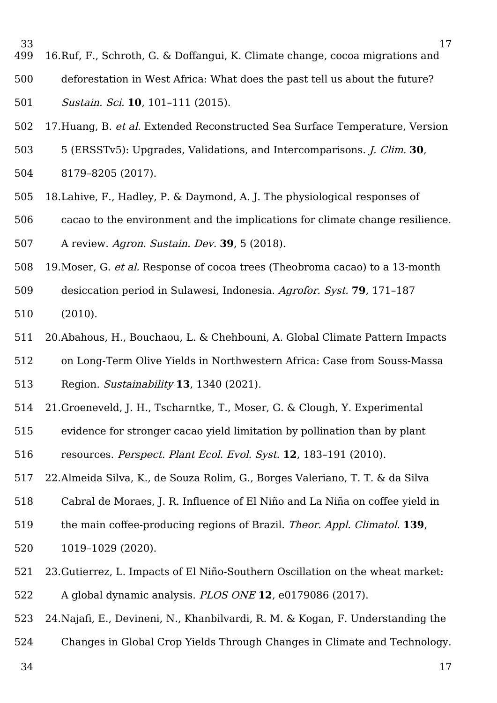- [16.Ruf, F., Schroth, G. & Doffangui, K. Climate change, cocoa migrations and](https://www.zotero.org/google-docs/?hKhFLE)  33 499
- [deforestation in West Africa: What does the past tell us about the future?](https://www.zotero.org/google-docs/?hKhFLE)  500
- [Sustain. Sci.](https://www.zotero.org/google-docs/?hKhFLE) **[10](https://www.zotero.org/google-docs/?hKhFLE)**[, 101–111 \(2015\).](https://www.zotero.org/google-docs/?hKhFLE) 501
- 17. Huang, B. [et al.](https://www.zotero.org/google-docs/?hKhFLE) Extended Reconstructed Sea Surface Temperature, Version 502
- [5 \(ERSSTv5\): Upgrades, Validations, and Intercomparisons.](https://www.zotero.org/google-docs/?hKhFLE) [J. Clim.](https://www.zotero.org/google-docs/?hKhFLE) **[30](https://www.zotero.org/google-docs/?hKhFLE)**[,](https://www.zotero.org/google-docs/?hKhFLE)  [8179–8205 \(2017\).](https://www.zotero.org/google-docs/?hKhFLE) 503 504
- [18.Lahive, F., Hadley, P. & Daymond, A. J. The physiological responses of](https://www.zotero.org/google-docs/?hKhFLE)  [cacao to the environment and the implications for climate change resilience.](https://www.zotero.org/google-docs/?hKhFLE) [A review.](https://www.zotero.org/google-docs/?hKhFLE) [Agron. Sustain. Dev.](https://www.zotero.org/google-docs/?hKhFLE) **[39](https://www.zotero.org/google-docs/?hKhFLE)**[, 5 \(2018\).](https://www.zotero.org/google-docs/?hKhFLE) 505 506 507

- [19.Moser, G.](https://www.zotero.org/google-docs/?hKhFLE) [et al.](https://www.zotero.org/google-docs/?hKhFLE) [Response of cocoa trees \(Theobroma cacao\) to a 13-month](https://www.zotero.org/google-docs/?hKhFLE)  508
- [desiccation period in Sulawesi, Indonesia.](https://www.zotero.org/google-docs/?hKhFLE) [Agrofor. Syst.](https://www.zotero.org/google-docs/?hKhFLE) **[79](https://www.zotero.org/google-docs/?hKhFLE)**[, 171–187](https://www.zotero.org/google-docs/?hKhFLE)  [\(2010\).](https://www.zotero.org/google-docs/?hKhFLE) 509 510
- [20.Abahous, H., Bouchaou, L. & Chehbouni, A. Global Climate Pattern Impacts](https://www.zotero.org/google-docs/?hKhFLE)  [on Long-Term Olive Yields in Northwestern Africa: Case from Souss-Massa](https://www.zotero.org/google-docs/?hKhFLE)  511 512
- [Region.](https://www.zotero.org/google-docs/?hKhFLE) [Sustainability](https://www.zotero.org/google-docs/?hKhFLE) **[13](https://www.zotero.org/google-docs/?hKhFLE)**[, 1340 \(2021\).](https://www.zotero.org/google-docs/?hKhFLE) 513
- [21.Groeneveld, J. H., Tscharntke, T., Moser, G. & Clough, Y. Experimental](https://www.zotero.org/google-docs/?hKhFLE)  514
- [evidence for stronger cacao yield limitation by pollination than by plant](https://www.zotero.org/google-docs/?hKhFLE)  515
- [resources.](https://www.zotero.org/google-docs/?hKhFLE) [Perspect. Plant Ecol. Evol. Syst.](https://www.zotero.org/google-docs/?hKhFLE) **[12](https://www.zotero.org/google-docs/?hKhFLE)**[, 183–191 \(2010\).](https://www.zotero.org/google-docs/?hKhFLE) 516
- [22.Almeida Silva, K., de Souza Rolim, G., Borges Valeriano, T. T. & da Silva](https://www.zotero.org/google-docs/?hKhFLE)  517
- [Cabral de Moraes, J. R. Influence of El Niño and La Niña on coffee yield in](https://www.zotero.org/google-docs/?hKhFLE)  518
- [the main coffee-producing regions of Brazil.](https://www.zotero.org/google-docs/?hKhFLE) [Theor. Appl. Climatol.](https://www.zotero.org/google-docs/?hKhFLE) **[139](https://www.zotero.org/google-docs/?hKhFLE)**[,](https://www.zotero.org/google-docs/?hKhFLE)  519
- [1019–1029 \(2020\).](https://www.zotero.org/google-docs/?hKhFLE) 520
- [23.Gutierrez, L. Impacts of El Niño-Southern Oscillation on the wheat market:](https://www.zotero.org/google-docs/?hKhFLE)  [A global dynamic analysis.](https://www.zotero.org/google-docs/?hKhFLE) [PLOS ONE](https://www.zotero.org/google-docs/?hKhFLE) **[12](https://www.zotero.org/google-docs/?hKhFLE)**[, e0179086 \(2017\).](https://www.zotero.org/google-docs/?hKhFLE) 521 522
- [24.Najafi, E., Devineni, N., Khanbilvardi, R. M. & Kogan, F. Understanding the](https://www.zotero.org/google-docs/?hKhFLE)  523
- [Changes in Global Crop Yields Through Changes in Climate and Technology.](https://www.zotero.org/google-docs/?hKhFLE) 524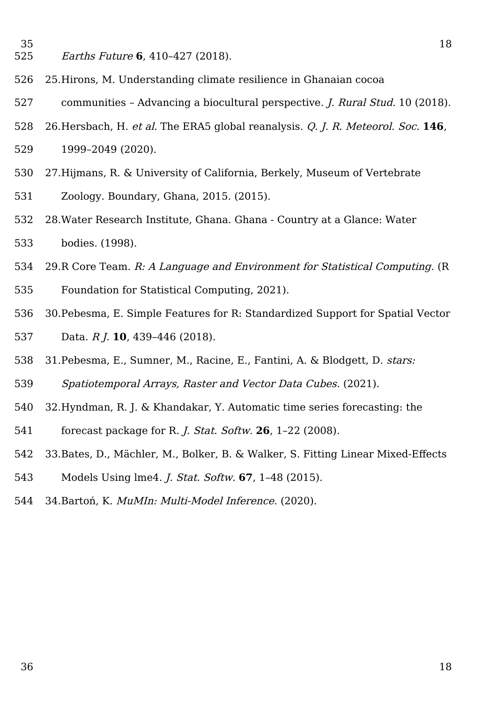- 35 525
- [Earths Future](https://www.zotero.org/google-docs/?hKhFLE) **[6](https://www.zotero.org/google-docs/?hKhFLE)**[, 410–427 \(2018\).](https://www.zotero.org/google-docs/?hKhFLE)
- [25.Hirons, M. Understanding climate resilience in Ghanaian cocoa](https://www.zotero.org/google-docs/?hKhFLE)  526
- [communities Advancing a biocultural perspective.](https://www.zotero.org/google-docs/?hKhFLE) [J. Rural Stud.](https://www.zotero.org/google-docs/?hKhFLE) [10 \(2018\).](https://www.zotero.org/google-docs/?hKhFLE) 527
- [26.Hersbach, H.](https://www.zotero.org/google-docs/?hKhFLE) [et al.](https://www.zotero.org/google-docs/?hKhFLE) [The ERA5 global reanalysis.](https://www.zotero.org/google-docs/?hKhFLE) [Q. J. R. Meteorol. Soc.](https://www.zotero.org/google-docs/?hKhFLE) **[146](https://www.zotero.org/google-docs/?hKhFLE)**[,](https://www.zotero.org/google-docs/?hKhFLE)  528
- [1999–2049 \(2020\).](https://www.zotero.org/google-docs/?hKhFLE) 529
- [27.Hijmans, R. & University of California, Berkely, Museum of Vertebrate](https://www.zotero.org/google-docs/?hKhFLE)  [Zoology. Boundary, Ghana, 2015. \(2015\).](https://www.zotero.org/google-docs/?hKhFLE) 530 531
- [28.Water Research Institute, Ghana. Ghana Country at a Glance: Water](https://www.zotero.org/google-docs/?hKhFLE)  [bodies. \(1998\).](https://www.zotero.org/google-docs/?hKhFLE) 532 533
- 2[9.R Core Team.](https://www.zotero.org/google-docs/?hKhFLE) [R: A Language and Environment for Statistical Computing](https://www.zotero.org/google-docs/?hKhFLE)[. \(R](https://www.zotero.org/google-docs/?hKhFLE) 534
- [Foundation for Statistical Computing, 2021\).](https://www.zotero.org/google-docs/?hKhFLE) 535
- [30.Pebesma, E. Simple Features for R: Standardized Support for Spatial Vector](https://www.zotero.org/google-docs/?hKhFLE) [Data.](https://www.zotero.org/google-docs/?hKhFLE) [R J.](https://www.zotero.org/google-docs/?hKhFLE) **[10](https://www.zotero.org/google-docs/?hKhFLE)**[, 439–446 \(2018\).](https://www.zotero.org/google-docs/?hKhFLE) 536 537
- [31.Pebesma, E., Sumner, M., Racine, E., Fantini, A. & Blodgett, D.](https://www.zotero.org/google-docs/?hKhFLE) [stars:](https://www.zotero.org/google-docs/?hKhFLE)  538
- [Spatiotemporal Arrays, Raster and Vector Data Cubes](https://www.zotero.org/google-docs/?hKhFLE)[. \(2021\).](https://www.zotero.org/google-docs/?hKhFLE) 539
- [32.Hyndman, R. J. & Khandakar, Y. Automatic time series forecasting: the](https://www.zotero.org/google-docs/?hKhFLE)  540
- [forecast package for R.](https://www.zotero.org/google-docs/?hKhFLE) [J. Stat. Softw.](https://www.zotero.org/google-docs/?hKhFLE) **[26](https://www.zotero.org/google-docs/?hKhFLE)**[, 1–22 \(2008\).](https://www.zotero.org/google-docs/?hKhFLE) 541
- [33.Bates, D., Mächler, M., Bolker, B. & Walker, S. Fitting Linear Mixed-Effects](https://www.zotero.org/google-docs/?hKhFLE)  542
- [Models Using lme4.](https://www.zotero.org/google-docs/?hKhFLE) [J. Stat. Softw.](https://www.zotero.org/google-docs/?hKhFLE) **[67](https://www.zotero.org/google-docs/?hKhFLE)**[, 1–48 \(2015\).](https://www.zotero.org/google-docs/?hKhFLE) 543
- [34.Bartoń, K.](https://www.zotero.org/google-docs/?hKhFLE) [MuMIn: Multi-Model Inference](https://www.zotero.org/google-docs/?hKhFLE)[. \(2020\).](https://www.zotero.org/google-docs/?hKhFLE) 544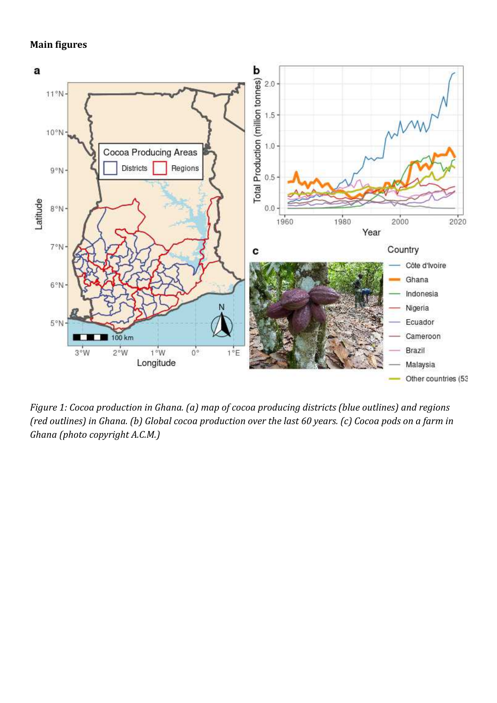### **Main figures**



*Figure 1: Cocoa production in Ghana. (a) map of cocoa producing districts (blue outlines) and regions (red outlines) in Ghana. (b) Global cocoa production over the last 60 years. (c) Cocoa pods on a farm in Ghana (photo copyright A.C.M.)*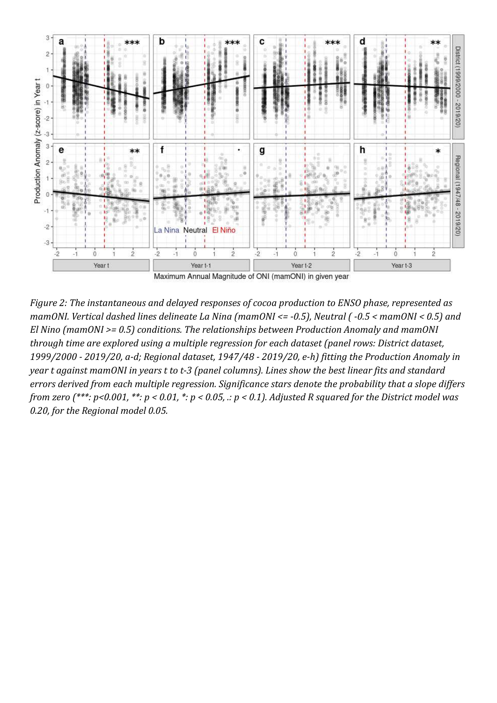

*Figure 2: The instantaneous and delayed responses of cocoa production to ENSO phase, represented as mamONI. Vertical dashed lines delineate La Nina (mamONI <= -0.5), Neutral ( -0.5 < mamONI < 0.5) and El Nino (mamONI >= 0.5) conditions. The relationships between Production Anomaly and mamONI through time are explored using a multiple regression for each dataset (panel rows: District dataset, 1999/2000 - 2019/20, a-d; Regional dataset, 1947/48 - 2019/20, e-h) fitting the Production Anomaly in year t against mamONI in years t to t-3 (panel columns). Lines show the best linear fits and standard errors derived from each multiple regression. Significance stars denote the probability that a slope differs from zero (\*\*\*: p<0.001, \*\*: p < 0.01, \*: p < 0.05, .: p < 0.1). Adjusted R squared for the District model was 0.20, for the Regional model 0.05.*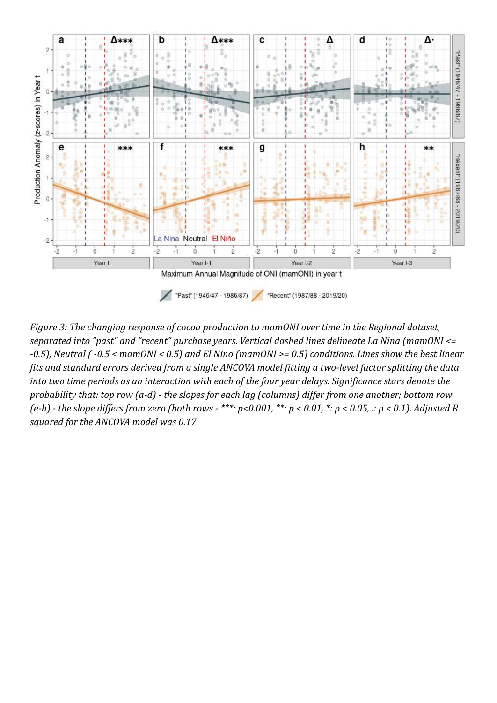

*Figure 3: The changing response of cocoa production to mamONI over time in the Regional dataset, separated into "past" and "recent" purchase years. Vertical dashed lines delineate La Nina (mamONI <= -0.5), Neutral ( -0.5 < mamONI < 0.5) and El Nino (mamONI >= 0.5) conditions. Lines show the best linear fits and standard errors derived from a single ANCOVA model fitting a two-level factor splitting the data into two time periods as an interaction with each of the four year delays. Significance stars denote the probability that: top row (a-d) - the slopes for each lag (columns) differ from one another; bottom row (e-h) - the slope differs from zero (both rows - \*\*\*: p<0.001, \*\*: p < 0.01, \*: p < 0.05, .: p < 0.1). Adjusted R squared for the ANCOVA model was 0.17.*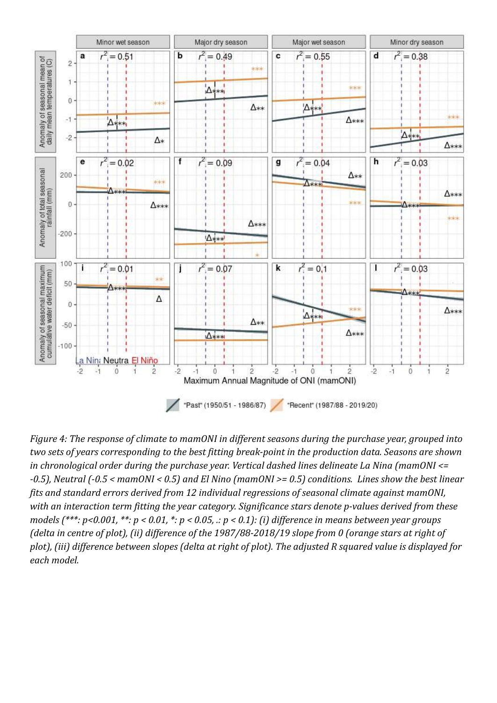

*Figure 4: The response of climate to mamONI in different seasons during the purchase year, grouped into two sets of years corresponding to the best fitting break-point in the production data. Seasons are shown in chronological order during the purchase year. Vertical dashed lines delineate La Nina (mamONI <= -0.5), Neutral (-0.5 < mamONI < 0.5) and El Nino (mamONI >= 0.5) conditions. Lines show the best linear fits and standard errors derived from 12 individual regressions of seasonal climate against mamONI, with an interaction term fitting the year category. Significance stars denote p-values derived from these models (\*\*\*: p<0.001, \*\*: p < 0.01, \*: p < 0.05, .: p < 0.1): (i) difference in means between year groups (delta in centre of plot), (ii) difference of the 1987/88-2018/19 slope from 0 (orange stars at right of plot), (iii) difference between slopes (delta at right of plot). The adjusted R squared value is displayed for each model.*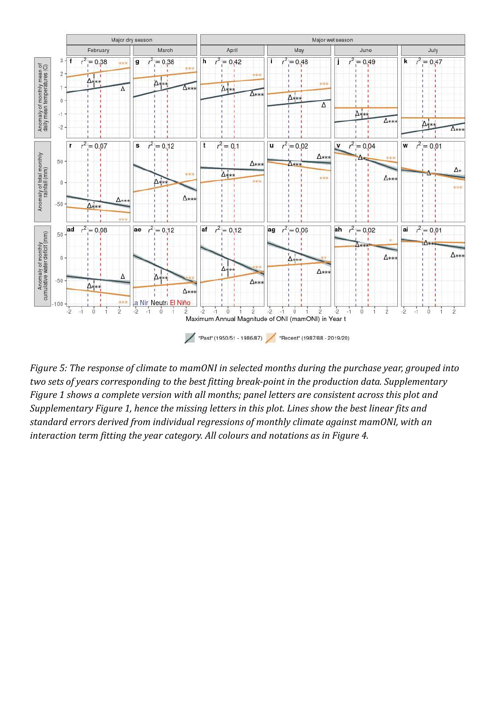

*Figure 5: The response of climate to mamONI in selected months during the purchase year, grouped into two sets of years corresponding to the best fitting break-point in the production data. Supplementary Figure 1 shows a complete version with all months; panel letters are consistent across this plot and Supplementary Figure 1, hence the missing letters in this plot. Lines show the best linear fits and standard errors derived from individual regressions of monthly climate against mamONI, with an interaction term fitting the year category. All colours and notations as in Figure 4.*